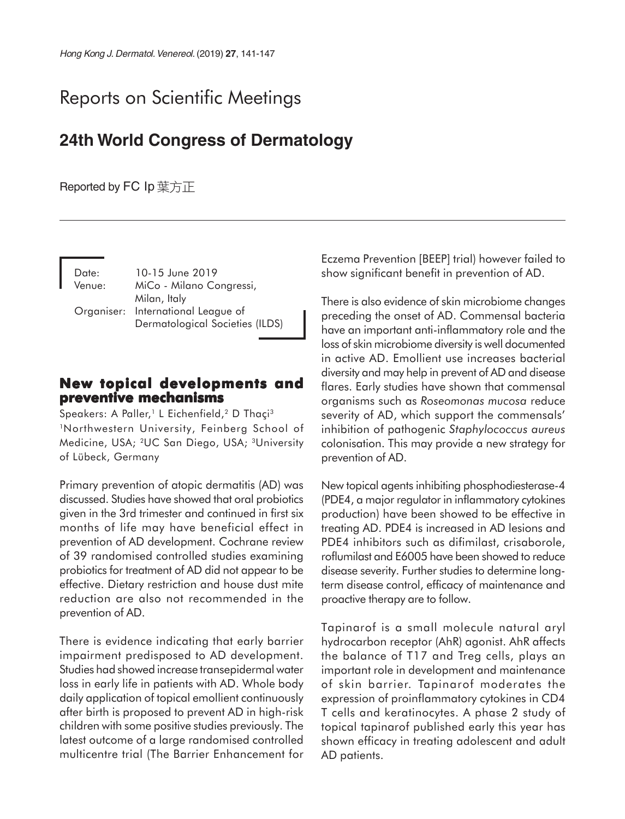# Reports on Scientific Meetings

## **24th World Congress of Dermatology**

## Reported by FC Ip 葉方正

| Date:<br>Venue: | 10-15 June 2019<br>MiCo - Milano Congressi, |
|-----------------|---------------------------------------------|
|                 | Milan, Italy                                |
|                 | Organiser: International League of          |
|                 | Dermatological Societies (ILDS)             |

## **New topical developments and preventive mechanisms**

Speakers: A Paller,<sup>1</sup> L Eichenfield,<sup>2</sup> D Thaçi<sup>3</sup> 1Northwestern University, Feinberg School of Medicine, USA; 2UC San Diego, USA; 3University of Lübeck, Germany

Primary prevention of atopic dermatitis (AD) was discussed. Studies have showed that oral probiotics given in the 3rd trimester and continued in first six months of life may have beneficial effect in prevention of AD development. Cochrane review of 39 randomised controlled studies examining probiotics for treatment of AD did not appear to be effective. Dietary restriction and house dust mite reduction are also not recommended in the prevention of AD.

There is evidence indicating that early barrier impairment predisposed to AD development. Studies had showed increase transepidermal water loss in early life in patients with AD. Whole body daily application of topical emollient continuously after birth is proposed to prevent AD in high-risk children with some positive studies previously. The latest outcome of a large randomised controlled multicentre trial (The Barrier Enhancement for

Eczema Prevention [BEEP] trial) however failed to show significant benefit in prevention of AD.

There is also evidence of skin microbiome changes preceding the onset of AD. Commensal bacteria have an important anti-inflammatory role and the loss of skin microbiome diversity is well documented in active AD. Emollient use increases bacterial diversity and may help in prevent of AD and disease flares. Early studies have shown that commensal organisms such as *Roseomonas mucosa* reduce severity of AD, which support the commensals' inhibition of pathogenic *Staphylococcus aureus* colonisation. This may provide a new strategy for prevention of AD.

New topical agents inhibiting phosphodiesterase-4 (PDE4, a major regulator in inflammatory cytokines production) have been showed to be effective in treating AD. PDE4 is increased in AD lesions and PDE4 inhibitors such as difimilast, crisaborole, roflumilast and E6005 have been showed to reduce disease severity. Further studies to determine longterm disease control, efficacy of maintenance and proactive therapy are to follow.

Tapinarof is a small molecule natural aryl hydrocarbon receptor (AhR) agonist. AhR affects the balance of T17 and Treg cells, plays an important role in development and maintenance of skin barrier. Tapinarof moderates the expression of proinflammatory cytokines in CD4 T cells and keratinocytes. A phase 2 study of topical tapinarof published early this year has shown efficacy in treating adolescent and adult AD patients.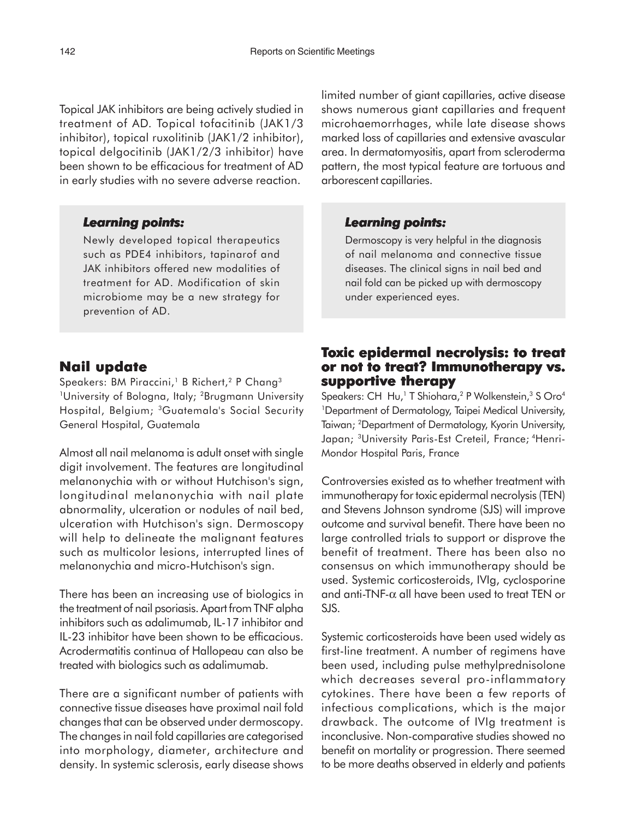Topical JAK inhibitors are being actively studied in treatment of AD. Topical tofacitinib (JAK1/3 inhibitor), topical ruxolitinib (JAK1/2 inhibitor), topical delgocitinib (JAK1/2/3 inhibitor) have been shown to be efficacious for treatment of AD in early studies with no severe adverse reaction.

#### *Learning points: Learning points:*

Newly developed topical therapeutics such as PDE4 inhibitors, tapinarof and JAK inhibitors offered new modalities of treatment for AD. Modification of skin microbiome may be a new strategy for prevention of AD.

### **Nail update**

Speakers: BM Piraccini,<sup>1</sup> B Richert,<sup>2</sup> P Chang<sup>3</sup> <sup>1</sup>University of Bologna, Italy; <sup>2</sup>Brugmann University Hospital, Belgium; 3Guatemala's Social Security General Hospital, Guatemala

Almost all nail melanoma is adult onset with single digit involvement. The features are longitudinal melanonychia with or without Hutchison's sign, longitudinal melanonychia with nail plate abnormality, ulceration or nodules of nail bed, ulceration with Hutchison's sign. Dermoscopy will help to delineate the malignant features such as multicolor lesions, interrupted lines of melanonychia and micro-Hutchison's sign.

There has been an increasing use of biologics in the treatment of nail psoriasis. Apart from TNF alpha inhibitors such as adalimumab, IL-17 inhibitor and IL-23 inhibitor have been shown to be efficacious. Acrodermatitis continua of Hallopeau can also be treated with biologics such as adalimumab.

There are a significant number of patients with connective tissue diseases have proximal nail fold changes that can be observed under dermoscopy. The changes in nail fold capillaries are categorised into morphology, diameter, architecture and density. In systemic sclerosis, early disease shows limited number of giant capillaries, active disease shows numerous giant capillaries and frequent microhaemorrhages, while late disease shows marked loss of capillaries and extensive avascular area. In dermatomyositis, apart from scleroderma pattern, the most typical feature are tortuous and arborescent capillaries.

#### *Learning points: points:*

Dermoscopy is very helpful in the diagnosis of nail melanoma and connective tissue diseases. The clinical signs in nail bed and nail fold can be picked up with dermoscopy under experienced eyes.

## **Toxic epidermal necrolysis: to treat xic to treat or not to treat? Immunotherapy vs. not Immunotherapy vs. supportive therapy**

Speakers: CH Hu,<sup>1</sup> T Shiohara,<sup>2</sup> P Wolkenstein,<sup>3</sup> S Oro<sup>4</sup> 1 Department of Dermatology, Taipei Medical University, Taiwan; 2 Department of Dermatology, Kyorin University, Japan; <sup>3</sup>University Paris-Est Creteil, France; <sup>4</sup>Henri-Mondor Hospital Paris, France

Controversies existed as to whether treatment with immunotherapy for toxic epidermal necrolysis (TEN) and Stevens Johnson syndrome (SJS) will improve outcome and survival benefit. There have been no large controlled trials to support or disprove the benefit of treatment. There has been also no consensus on which immunotherapy should be used. Systemic corticosteroids, IVIg, cyclosporine and anti-TNF-α all have been used to treat TEN or SJS.

Systemic corticosteroids have been used widely as first-line treatment. A number of regimens have been used, including pulse methylprednisolone which decreases several pro-inflammatory cytokines. There have been a few reports of infectious complications, which is the major drawback. The outcome of IVIg treatment is inconclusive. Non-comparative studies showed no benefit on mortality or progression. There seemed to be more deaths observed in elderly and patients